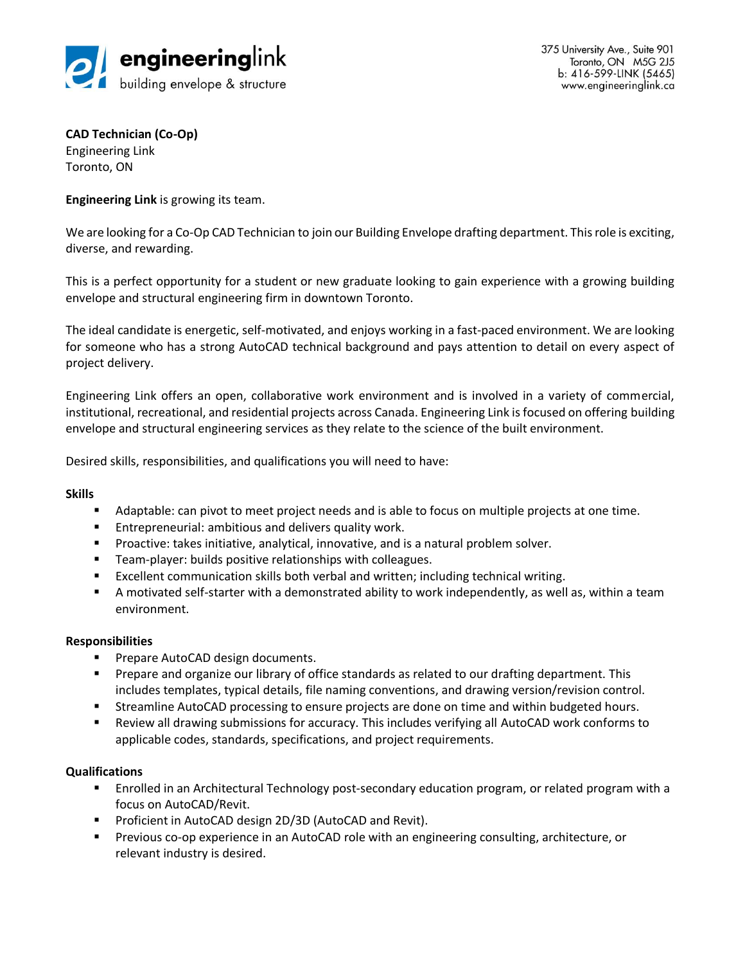

375 University Ave., Suite 901 Toronto, ON M5G 2J5 b: 416-599-LINK (5465) www.engineeringlink.ca

**CAD Technician (Co-Op)** Engineering Link Toronto, ON

**Engineering Link** is growing its team.

We are looking for a Co-Op CAD Technician to join our Building Envelope drafting department. This role is exciting, diverse, and rewarding.

This is a perfect opportunity for a student or new graduate looking to gain experience with a growing building envelope and structural engineering firm in downtown Toronto.

The ideal candidate is energetic, self-motivated, and enjoys working in a fast-paced environment. We are looking for someone who has a strong AutoCAD technical background and pays attention to detail on every aspect of project delivery.

Engineering Link offers an open, collaborative work environment and is involved in a variety of commercial, institutional, recreational, and residential projects across Canada. Engineering Link is focused on offering building envelope and structural engineering services as they relate to the science of the built environment.

Desired skills, responsibilities, and qualifications you will need to have:

## **Skills**

- Adaptable: can pivot to meet project needs and is able to focus on multiple projects at one time.
- Entrepreneurial: ambitious and delivers quality work.
- **•** Proactive: takes initiative, analytical, innovative, and is a natural problem solver.
- Team-player: builds positive relationships with colleagues.
- Excellent communication skills both verbal and written; including technical writing.
- **EXT** A motivated self-starter with a demonstrated ability to work independently, as well as, within a team environment.

## **Responsibilities**

- Prepare AutoCAD design documents.
- **•** Prepare and organize our library of office standards as related to our drafting department. This includes templates, typical details, file naming conventions, and drawing version/revision control.
- **EXECT** Streamline AutoCAD processing to ensure projects are done on time and within budgeted hours.
- Review all drawing submissions for accuracy. This includes verifying all AutoCAD work conforms to applicable codes, standards, specifications, and project requirements.

## **Qualifications**

- Enrolled in an Architectural Technology post-secondary education program, or related program with a focus on AutoCAD/Revit.
- Proficient in AutoCAD design 2D/3D (AutoCAD and Revit).
- **•** Previous co-op experience in an AutoCAD role with an engineering consulting, architecture, or relevant industry is desired.